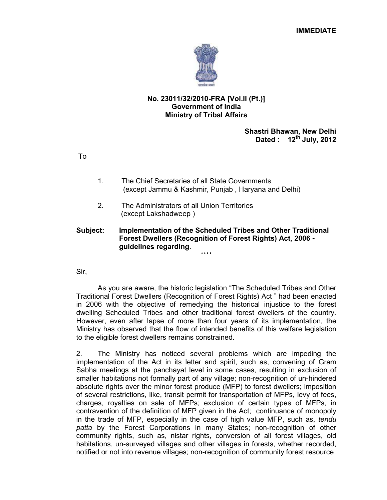

# **No. 23011/32/2010-FRA [Vol.II (Pt.)] Government of India Ministry of Tribal Affairs**

**Shastri Bhawan, New Delhi Dated : 12th July, 2012** 

To

- 1. The Chief Secretaries of all State Governments (except Jammu & Kashmir, Punjab , Haryana and Delhi)
- 2. The Administrators of all Union Territories (except Lakshadweep )

### **Subject: Implementation of the Scheduled Tribes and Other Traditional Forest Dwellers (Recognition of Forest Rights) Act, 2006 guidelines regarding**. \*\*\*\*

Sir,

 As you are aware, the historic legislation "The Scheduled Tribes and Other Traditional Forest Dwellers (Recognition of Forest Rights) Act " had been enacted in 2006 with the objective of remedying the historical injustice to the forest dwelling Scheduled Tribes and other traditional forest dwellers of the country. However, even after lapse of more than four years of its implementation, the Ministry has observed that the flow of intended benefits of this welfare legislation to the eligible forest dwellers remains constrained.

2. The Ministry has noticed several problems which are impeding the implementation of the Act in its letter and spirit, such as, convening of Gram Sabha meetings at the panchayat level in some cases, resulting in exclusion of smaller habitations not formally part of any village; non-recognition of un-hindered absolute rights over the minor forest produce (MFP) to forest dwellers; imposition of several restrictions, like, transit permit for transportation of MFPs, levy of fees, charges, royalties on sale of MFPs; exclusion of certain types of MFPs, in contravention of the definition of MFP given in the Act; continuance of monopoly in the trade of MFP, especially in the case of high value MFP, such as, *tendu patta* by the Forest Corporations in many States; non-recognition of other community rights, such as, nistar rights, conversion of all forest villages, old habitations, un-surveyed villages and other villages in forests, whether recorded, notified or not into revenue villages; non-recognition of community forest resource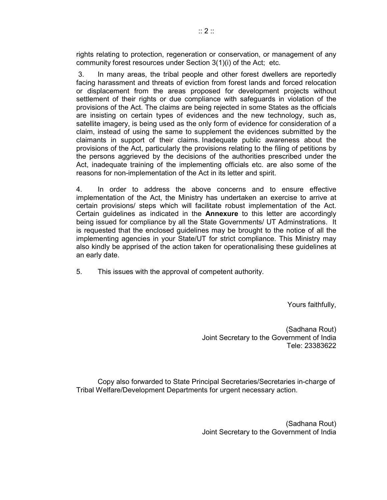rights relating to protection, regeneration or conservation, or management of any community forest resources under Section 3(1)(i) of the Act; etc.

 3. In many areas, the tribal people and other forest dwellers are reportedly facing harassment and threats of eviction from forest lands and forced relocation or displacement from the areas proposed for development projects without settlement of their rights or due compliance with safeguards in violation of the provisions of the Act. The claims are being rejected in some States as the officials are insisting on certain types of evidences and the new technology, such as, satellite imagery, is being used as the only form of evidence for consideration of a claim, instead of using the same to supplement the evidences submitted by the claimants in support of their claims. Inadequate public awareness about the provisions of the Act, particularly the provisions relating to the filing of petitions by the persons aggrieved by the decisions of the authorities prescribed under the Act, inadequate training of the implementing officials etc. are also some of the reasons for non-implementation of the Act in its letter and spirit.

4. In order to address the above concerns and to ensure effective implementation of the Act, the Ministry has undertaken an exercise to arrive at certain provisions/ steps which will facilitate robust implementation of the Act. Certain guidelines as indicated in the **Annexure** to this letter are accordingly being issued for compliance by all the State Governments/ UT Adminstrations. It is requested that the enclosed guidelines may be brought to the notice of all the implementing agencies in your State/UT for strict compliance. This Ministry may also kindly be apprised of the action taken for operationalising these guidelines at an early date.

5. This issues with the approval of competent authority.

Yours faithfully,

 (Sadhana Rout) Joint Secretary to the Government of India Tele: 23383622

Copy also forwarded to State Principal Secretaries/Secretaries in-charge of Tribal Welfare/Development Departments for urgent necessary action.

> (Sadhana Rout) Joint Secretary to the Government of India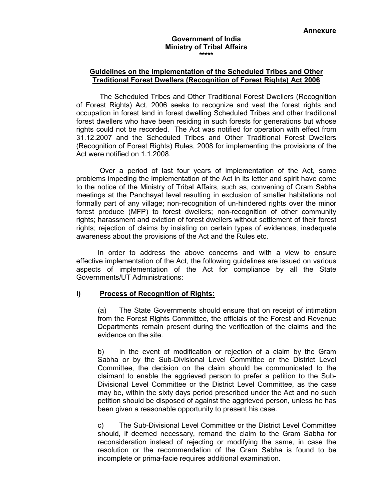#### **Government of India Ministry of Tribal Affairs \*\*\*\*\***

## **Guidelines on the implementation of the Scheduled Tribes and Other Traditional Forest Dwellers (Recognition of Forest Rights) Act 2006**

 The Scheduled Tribes and Other Traditional Forest Dwellers (Recognition of Forest Rights) Act, 2006 seeks to recognize and vest the forest rights and occupation in forest land in forest dwelling Scheduled Tribes and other traditional forest dwellers who have been residing in such forests for generations but whose rights could not be recorded. The Act was notified for operation with effect from 31.12.2007 and the Scheduled Tribes and Other Traditional Forest Dwellers (Recognition of Forest Rights) Rules, 2008 for implementing the provisions of the Act were notified on 1.1.2008.

 Over a period of last four years of implementation of the Act, some problems impeding the implementation of the Act in its letter and spirit have come to the notice of the Ministry of Tribal Affairs, such as, convening of Gram Sabha meetings at the Panchayat level resulting in exclusion of smaller habitations not formally part of any village; non-recognition of un-hindered rights over the minor forest produce (MFP) to forest dwellers; non-recognition of other community rights; harassment and eviction of forest dwellers without settlement of their forest rights; rejection of claims by insisting on certain types of evidences, inadequate awareness about the provisions of the Act and the Rules etc.

In order to address the above concerns and with a view to ensure effective implementation of the Act, the following guidelines are issued on various aspects of implementation of the Act for compliance by all the State Governments/UT Administrations:

## **i) Process of Recognition of Rights:**

(a) The State Governments should ensure that on receipt of intimation from the Forest Rights Committee, the officials of the Forest and Revenue Departments remain present during the verification of the claims and the evidence on the site.

b) In the event of modification or rejection of a claim by the Gram Sabha or by the Sub-Divisional Level Committee or the District Level Committee, the decision on the claim should be communicated to the claimant to enable the aggrieved person to prefer a petition to the Sub-Divisional Level Committee or the District Level Committee, as the case may be, within the sixty days period prescribed under the Act and no such petition should be disposed of against the aggrieved person, unless he has been given a reasonable opportunity to present his case.

c) The Sub-Divisional Level Committee or the District Level Committee should, if deemed necessary, remand the claim to the Gram Sabha for reconsideration instead of rejecting or modifying the same, in case the resolution or the recommendation of the Gram Sabha is found to be incomplete or prima-facie requires additional examination.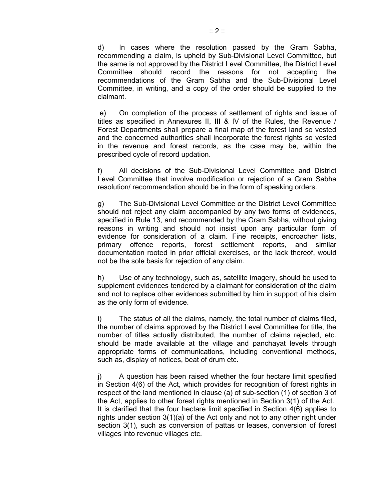d) In cases where the resolution passed by the Gram Sabha, recommending a claim, is upheld by Sub-Divisional Level Committee, but the same is not approved by the District Level Committee, the District Level Committee should record the reasons for not accepting the recommendations of the Gram Sabha and the Sub-Divisional Level Committee, in writing, and a copy of the order should be supplied to the claimant.

 e) On completion of the process of settlement of rights and issue of titles as specified in Annexures II, III & IV of the Rules, the Revenue / Forest Departments shall prepare a final map of the forest land so vested and the concerned authorities shall incorporate the forest rights so vested in the revenue and forest records, as the case may be, within the prescribed cycle of record updation.

f) All decisions of the Sub-Divisional Level Committee and District Level Committee that involve modification or rejection of a Gram Sabha resolution/ recommendation should be in the form of speaking orders.

g) The Sub-Divisional Level Committee or the District Level Committee should not reject any claim accompanied by any two forms of evidences, specified in Rule 13, and recommended by the Gram Sabha, without giving reasons in writing and should not insist upon any particular form of evidence for consideration of a claim. Fine receipts, encroacher lists, primary offence reports, forest settlement reports, and similar documentation rooted in prior official exercises, or the lack thereof, would not be the sole basis for rejection of any claim.

h) Use of any technology, such as, satellite imagery, should be used to supplement evidences tendered by a claimant for consideration of the claim and not to replace other evidences submitted by him in support of his claim as the only form of evidence.

i) The status of all the claims, namely, the total number of claims filed, the number of claims approved by the District Level Committee for title, the number of titles actually distributed, the number of claims rejected, etc. should be made available at the village and panchayat levels through appropriate forms of communications, including conventional methods, such as, display of notices, beat of drum etc.

j) A question has been raised whether the four hectare limit specified in Section 4(6) of the Act, which provides for recognition of forest rights in respect of the land mentioned in clause (a) of sub-section (1) of section 3 of the Act, applies to other forest rights mentioned in Section 3(1) of the Act. It is clarified that the four hectare limit specified in Section 4(6) applies to rights under section 3(1)(a) of the Act only and not to any other right under section 3(1), such as conversion of pattas or leases, conversion of forest villages into revenue villages etc.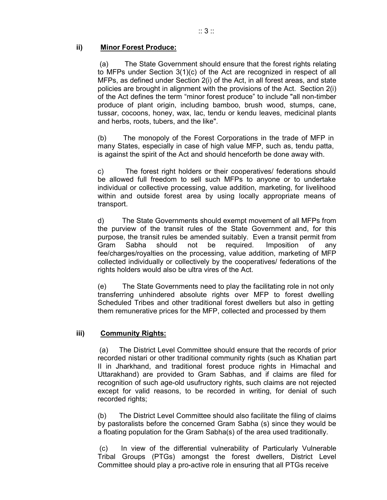# **ii) Minor Forest Produce:**

 (a) The State Government should ensure that the forest rights relating to MFPs under Section 3(1)(c) of the Act are recognized in respect of all MFPs, as defined under Section 2(i) of the Act, in all forest areas, and state policies are brought in alignment with the provisions of the Act. Section 2(i) of the Act defines the term "minor forest produce" to include "all non-timber produce of plant origin, including bamboo, brush wood, stumps, cane, tussar, cocoons, honey, wax, lac, tendu or kendu leaves, medicinal plants and herbs, roots, tubers, and the like".

(b) The monopoly of the Forest Corporations in the trade of MFP in many States, especially in case of high value MFP, such as, tendu patta, is against the spirit of the Act and should henceforth be done away with.

c) The forest right holders or their cooperatives/ federations should be allowed full freedom to sell such MFPs to anyone or to undertake individual or collective processing, value addition, marketing, for livelihood within and outside forest area by using locally appropriate means of transport.

d) The State Governments should exempt movement of all MFPs from the purview of the transit rules of the State Government and, for this purpose, the transit rules be amended suitably. Even a transit permit from Gram Sabha should not be required. Imposition of any fee/charges/royalties on the processing, value addition, marketing of MFP collected individually or collectively by the cooperatives/ federations of the rights holders would also be ultra vires of the Act.

(e) The State Governments need to play the facilitating role in not only transferring unhindered absolute rights over MFP to forest dwelling Scheduled Tribes and other traditional forest dwellers but also in getting them remunerative prices for the MFP, collected and processed by them

# **iii) Community Rights:**

(a) The District Level Committee should ensure that the records of prior recorded nistari or other traditional community rights (such as Khatian part II in Jharkhand, and traditional forest produce rights in Himachal and Uttarakhand) are provided to Gram Sabhas, and if claims are filed for recognition of such age-old usufructory rights, such claims are not rejected except for valid reasons, to be recorded in writing, for denial of such recorded rights;

(b) The District Level Committee should also facilitate the filing of claims by pastoralists before the concerned Gram Sabha (s) since they would be a floating population for the Gram Sabha(s) of the area used traditionally.

(c) In view of the differential vulnerability of Particularly Vulnerable Tribal Groups (PTGs) amongst the forest dwellers, District Level Committee should play a pro-active role in ensuring that all PTGs receive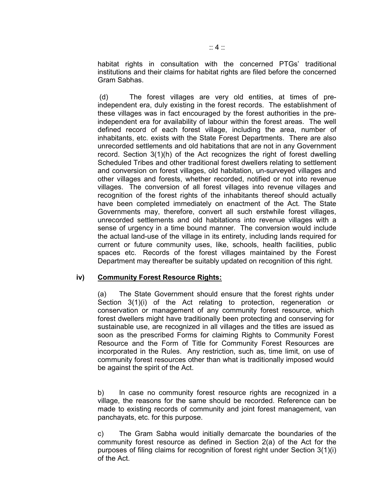habitat rights in consultation with the concerned PTGs' traditional institutions and their claims for habitat rights are filed before the concerned Gram Sabhas.

(d) The forest villages are very old entities, at times of preindependent era, duly existing in the forest records. The establishment of these villages was in fact encouraged by the forest authorities in the preindependent era for availability of labour within the forest areas. The well defined record of each forest village, including the area, number of inhabitants, etc. exists with the State Forest Departments. There are also unrecorded settlements and old habitations that are not in any Government record. Section 3(1)(h) of the Act recognizes the right of forest dwelling Scheduled Tribes and other traditional forest dwellers relating to settlement and conversion on forest villages, old habitation, un-surveyed villages and other villages and forests, whether recorded, notified or not into revenue villages. The conversion of all forest villages into revenue villages and recognition of the forest rights of the inhabitants thereof should actually have been completed immediately on enactment of the Act. The State Governments may, therefore, convert all such erstwhile forest villages, unrecorded settlements and old habitations into revenue villages with a sense of urgency in a time bound manner. The conversion would include the actual land-use of the village in its entirety, including lands required for current or future community uses, like, schools, health facilities, public spaces etc. Records of the forest villages maintained by the Forest Department may thereafter be suitably updated on recognition of this right.

# **iv) Community Forest Resource Rights:**

(a) The State Government should ensure that the forest rights under Section 3(1)(i) of the Act relating to protection, regeneration or conservation or management of any community forest resource, which forest dwellers might have traditionally been protecting and conserving for sustainable use, are recognized in all villages and the titles are issued as soon as the prescribed Forms for claiming Rights to Community Forest Resource and the Form of Title for Community Forest Resources are incorporated in the Rules. Any restriction, such as, time limit, on use of community forest resources other than what is traditionally imposed would be against the spirit of the Act.

b) In case no community forest resource rights are recognized in a village, the reasons for the same should be recorded. Reference can be made to existing records of community and joint forest management, van panchayats, etc. for this purpose.

c) The Gram Sabha would initially demarcate the boundaries of the community forest resource as defined in Section 2(a) of the Act for the purposes of filing claims for recognition of forest right under Section 3(1)(i) of the Act.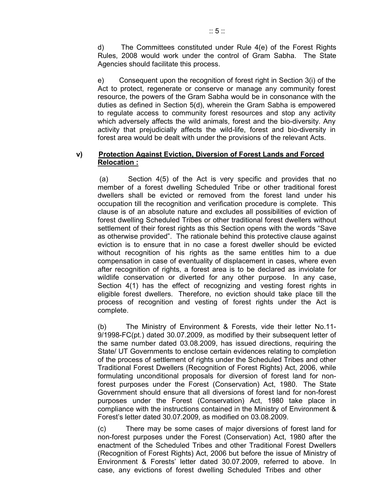d) The Committees constituted under Rule 4(e) of the Forest Rights Rules, 2008 would work under the control of Gram Sabha. The State Agencies should facilitate this process.

e) Consequent upon the recognition of forest right in Section 3(i) of the Act to protect, regenerate or conserve or manage any community forest resource, the powers of the Gram Sabha would be in consonance with the duties as defined in Section 5(d), wherein the Gram Sabha is empowered to regulate access to community forest resources and stop any activity which adversely affects the wild animals, forest and the bio-diversity. Any activity that prejudicially affects the wild-life, forest and bio-diversity in forest area would be dealt with under the provisions of the relevant Acts.

# **v) Protection Against Eviction, Diversion of Forest Lands and Forced Relocation :**

(a) Section 4(5) of the Act is very specific and provides that no member of a forest dwelling Scheduled Tribe or other traditional forest dwellers shall be evicted or removed from the forest land under his occupation till the recognition and verification procedure is complete. This clause is of an absolute nature and excludes all possibilities of eviction of forest dwelling Scheduled Tribes or other traditional forest dwellers without settlement of their forest rights as this Section opens with the words "Save as otherwise provided". The rationale behind this protective clause against eviction is to ensure that in no case a forest dweller should be evicted without recognition of his rights as the same entitles him to a due compensation in case of eventuality of displacement in cases, where even after recognition of rights, a forest area is to be declared as inviolate for wildlife conservation or diverted for any other purpose. In any case, Section 4(1) has the effect of recognizing and vesting forest rights in eligible forest dwellers. Therefore, no eviction should take place till the process of recognition and vesting of forest rights under the Act is complete.

(b) The Ministry of Environment & Forests, vide their letter No.11- 9/1998-FC(pt.) dated 30.07.2009, as modified by their subsequent letter of the same number dated 03.08.2009, has issued directions, requiring the State/ UT Governments to enclose certain evidences relating to completion of the process of settlement of rights under the Scheduled Tribes and other Traditional Forest Dwellers (Recognition of Forest Rights) Act, 2006, while formulating unconditional proposals for diversion of forest land for nonforest purposes under the Forest (Conservation) Act, 1980. The State Government should ensure that all diversions of forest land for non-forest purposes under the Forest (Conservation) Act, 1980 take place in compliance with the instructions contained in the Ministry of Environment & Forest's letter dated 30.07.2009, as modified on 03.08.2009.

(c) There may be some cases of major diversions of forest land for non-forest purposes under the Forest (Conservation) Act, 1980 after the enactment of the Scheduled Tribes and other Traditional Forest Dwellers (Recognition of Forest Rights) Act, 2006 but before the issue of Ministry of Environment & Forests' letter dated 30.07.2009, referred to above. In case, any evictions of forest dwelling Scheduled Tribes and other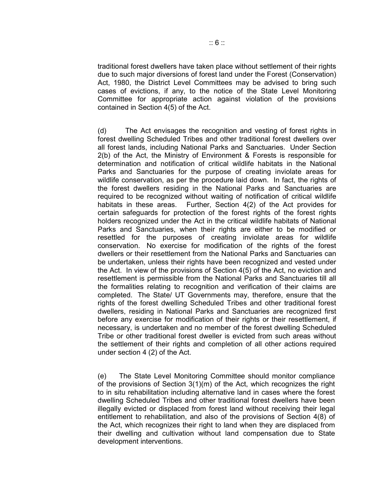traditional forest dwellers have taken place without settlement of their rights due to such major diversions of forest land under the Forest (Conservation) Act, 1980, the District Level Committees may be advised to bring such cases of evictions, if any, to the notice of the State Level Monitoring Committee for appropriate action against violation of the provisions contained in Section 4(5) of the Act.

(d) The Act envisages the recognition and vesting of forest rights in forest dwelling Scheduled Tribes and other traditional forest dwellers over all forest lands, including National Parks and Sanctuaries. Under Section 2(b) of the Act, the Ministry of Environment & Forests is responsible for determination and notification of critical wildlife habitats in the National Parks and Sanctuaries for the purpose of creating inviolate areas for wildlife conservation, as per the procedure laid down. In fact, the rights of the forest dwellers residing in the National Parks and Sanctuaries are required to be recognized without waiting of notification of critical wildlife habitats in these areas. Further, Section 4(2) of the Act provides for certain safeguards for protection of the forest rights of the forest rights holders recognized under the Act in the critical wildlife habitats of National Parks and Sanctuaries, when their rights are either to be modified or resettled for the purposes of creating inviolate areas for wildlife conservation. No exercise for modification of the rights of the forest dwellers or their resettlement from the National Parks and Sanctuaries can be undertaken, unless their rights have been recognized and vested under the Act. In view of the provisions of Section 4(5) of the Act, no eviction and resettlement is permissible from the National Parks and Sanctuaries till all the formalities relating to recognition and verification of their claims are completed. The State/ UT Governments may, therefore, ensure that the rights of the forest dwelling Scheduled Tribes and other traditional forest dwellers, residing in National Parks and Sanctuaries are recognized first before any exercise for modification of their rights or their resettlement, if necessary, is undertaken and no member of the forest dwelling Scheduled Tribe or other traditional forest dweller is evicted from such areas without the settlement of their rights and completion of all other actions required under section 4 (2) of the Act.

(e) The State Level Monitoring Committee should monitor compliance of the provisions of Section 3(1)(m) of the Act, which recognizes the right to in situ rehabilitation including alternative land in cases where the forest dwelling Scheduled Tribes and other traditional forest dwellers have been illegally evicted or displaced from forest land without receiving their legal entitlement to rehabilitation, and also of the provisions of Section 4(8) of the Act, which recognizes their right to land when they are displaced from their dwelling and cultivation without land compensation due to State development interventions.